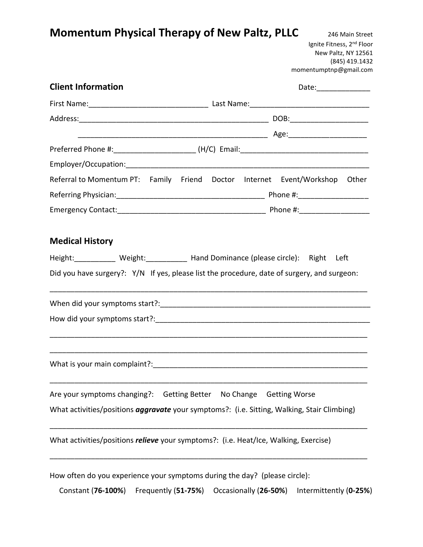# **Momentum Physical Therapy of New Paltz, PLLC** 246 Main Street

Ignite Fitness, 2<sup>nd</sup> Floor New Paltz, NY 12561 (845) 419.1432 momentumptnp@gmail.com

| <b>Client Information</b>                                                            |                                                                                                    |
|--------------------------------------------------------------------------------------|----------------------------------------------------------------------------------------------------|
|                                                                                      |                                                                                                    |
|                                                                                      |                                                                                                    |
|                                                                                      |                                                                                                    |
|                                                                                      |                                                                                                    |
|                                                                                      |                                                                                                    |
|                                                                                      | Referral to Momentum PT: Family Friend Doctor Internet Event/Workshop Other                        |
|                                                                                      |                                                                                                    |
|                                                                                      |                                                                                                    |
|                                                                                      |                                                                                                    |
| <b>Medical History</b>                                                               |                                                                                                    |
| Height:____________ Weight:____________ Hand Dominance (please circle): Right Left   |                                                                                                    |
|                                                                                      | Did you have surgery?: Y/N If yes, please list the procedure, date of surgery, and surgeon:        |
|                                                                                      |                                                                                                    |
|                                                                                      |                                                                                                    |
|                                                                                      |                                                                                                    |
|                                                                                      |                                                                                                    |
|                                                                                      |                                                                                                    |
|                                                                                      |                                                                                                    |
|                                                                                      |                                                                                                    |
| Are your symptoms changing?:  Getting Better  No Change  Getting Worse               |                                                                                                    |
|                                                                                      | What activities/positions <i>aggravate</i> your symptoms?: (i.e. Sitting, Walking, Stair Climbing) |
|                                                                                      |                                                                                                    |
| What activities/positions relieve your symptoms?: (i.e. Heat/Ice, Walking, Exercise) |                                                                                                    |
|                                                                                      |                                                                                                    |
|                                                                                      |                                                                                                    |
| How often do you experience your symptoms during the day? (please circle):           |                                                                                                    |

Constant (**76-100%**) Frequently (**51-75%**) Occasionally (**26-50%**) Intermittently (**0-25%**)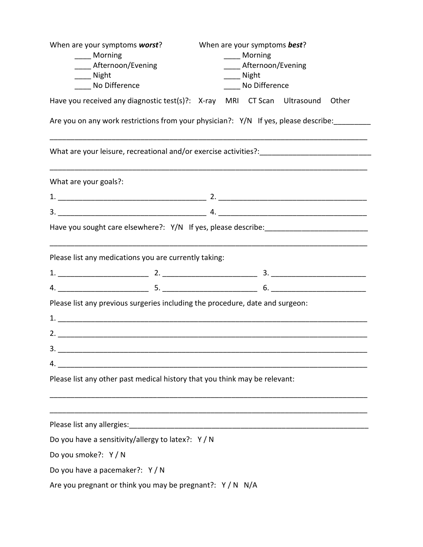| When are your symptoms worst?                                                                                              |  | When are your symptoms best? |       |
|----------------------------------------------------------------------------------------------------------------------------|--|------------------------------|-------|
| ____ Morning                                                                                                               |  | Morning                      |       |
| ____ Afternoon/Evening                                                                                                     |  | Afternoon/Evening            |       |
| ___ Night                                                                                                                  |  | ____ Night                   |       |
| ____ No Difference                                                                                                         |  | ____ No Difference           |       |
| Have you received any diagnostic test(s)?: X-ray MRI CT Scan Ultrasound                                                    |  |                              | Other |
| Are you on any work restrictions from your physician?: Y/N If yes, please describe:                                        |  |                              |       |
| What are your leisure, recreational and/or exercise activities?: ___________________________________                       |  |                              |       |
| What are your goals?:                                                                                                      |  |                              |       |
|                                                                                                                            |  |                              |       |
|                                                                                                                            |  |                              |       |
| Have you sought care elsewhere?: Y/N If yes, please describe: ___________________                                          |  |                              |       |
| Please list any medications you are currently taking:                                                                      |  |                              |       |
|                                                                                                                            |  |                              |       |
|                                                                                                                            |  |                              |       |
| Please list any previous surgeries including the procedure, date and surgeon:                                              |  |                              |       |
|                                                                                                                            |  |                              |       |
|                                                                                                                            |  |                              |       |
| 3.                                                                                                                         |  |                              |       |
| <u> 1989 - Jan Barnett, mars eta bat erroman erroman erroman erroman erroman erroman erroman erroman erroman err</u><br>4. |  |                              |       |
| Please list any other past medical history that you think may be relevant:                                                 |  |                              |       |
|                                                                                                                            |  |                              |       |
| Do you have a sensitivity/allergy to latex?: Y/N                                                                           |  |                              |       |
| Do you smoke?: Y / N                                                                                                       |  |                              |       |
| Do you have a pacemaker?: Y / N                                                                                            |  |                              |       |
| Are you pregnant or think you may be pregnant?: $Y/N$ N/A                                                                  |  |                              |       |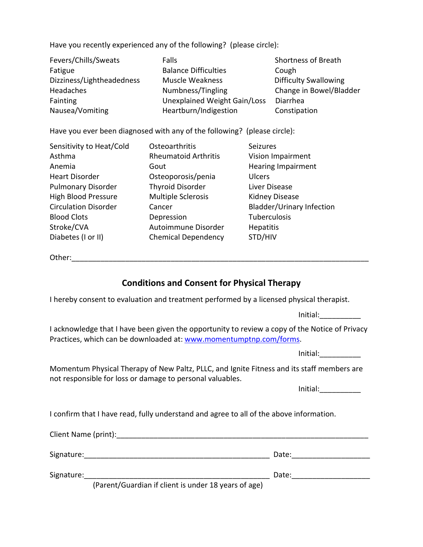Have you recently experienced any of the following? (please circle):

| Fevers/Chills/Sweats      | <b>Falls</b>                 | <b>Shortness of Breath</b>   |
|---------------------------|------------------------------|------------------------------|
| Fatigue                   | <b>Balance Difficulties</b>  | Cough                        |
| Dizziness/Lightheadedness | <b>Muscle Weakness</b>       | <b>Difficulty Swallowing</b> |
| <b>Headaches</b>          | Numbness/Tingling            | Change in Bowel/Bladder      |
| Fainting                  | Unexplained Weight Gain/Loss | <b>Diarrhea</b>              |
| Nausea/Vomiting           | Heartburn/Indigestion        | Constipation                 |

Have you ever been diagnosed with any of the following? (please circle):

| Sensitivity to Heat/Cold    | Osteoarthritis              | <b>Seizures</b>                  |
|-----------------------------|-----------------------------|----------------------------------|
| Asthma                      | <b>Rheumatoid Arthritis</b> | Vision Impairment                |
| Anemia                      | Gout                        | <b>Hearing Impairment</b>        |
| <b>Heart Disorder</b>       | Osteoporosis/penia          | <b>Ulcers</b>                    |
| <b>Pulmonary Disorder</b>   | <b>Thyroid Disorder</b>     | Liver Disease                    |
| <b>High Blood Pressure</b>  | <b>Multiple Sclerosis</b>   | <b>Kidney Disease</b>            |
| <b>Circulation Disorder</b> | Cancer                      | <b>Bladder/Urinary Infection</b> |
| <b>Blood Clots</b>          | Depression                  | Tuberculosis                     |
| Stroke/CVA                  | Autoimmune Disorder         | <b>Hepatitis</b>                 |
| Diabetes (I or II)          | <b>Chemical Dependency</b>  | STD/HIV                          |

Other:\_\_\_\_\_\_\_\_\_\_\_\_\_\_\_\_\_\_\_\_\_\_\_\_\_\_\_\_\_\_\_\_\_\_\_\_\_\_\_\_\_\_\_\_\_\_\_\_\_\_\_\_\_\_\_\_\_\_\_\_\_\_\_\_\_\_\_\_\_\_\_\_

## **Conditions and Consent for Physical Therapy**

I hereby consent to evaluation and treatment performed by a licensed physical therapist.

Initial:\_\_\_\_\_\_\_\_\_\_

I acknowledge that I have been given the opportunity to review a copy of the Notice of Privacy Practices, which can be downloaded at: [www.momentumptnp.com/forms.](www.momentumptnp.com/forms)

Initial:\_\_\_\_\_\_\_\_\_\_

Momentum Physical Therapy of New Paltz, PLLC, and Ignite Fitness and its staff members are not responsible for loss or damage to personal valuables.

Initial:

I confirm that I have read, fully understand and agree to all of the above information.

| Client Name (print): |                                                      |       |
|----------------------|------------------------------------------------------|-------|
| Signature:           |                                                      | Date: |
| Signature:           |                                                      | Date: |
|                      | (Parent/Guardian if client is under 18 years of age) |       |

(Parent/Guardian if client is under 18 years of age)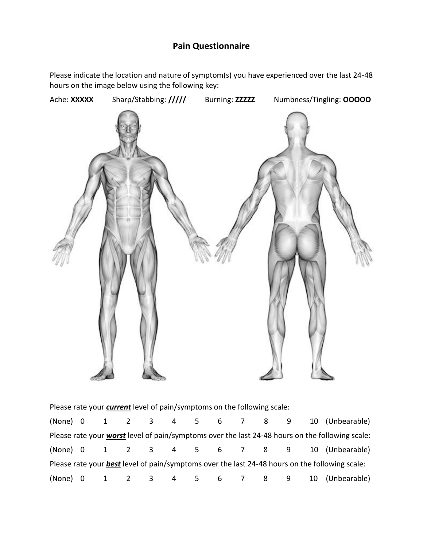## **Pain Questionnaire**

Please indicate the location and nature of symptom(s) you have experienced over the last 24-48 hours on the image below using the following key:



| Please rate your <i>current</i> level of pain/symptoms on the following scale: |  |  |  |  |  |                                                                                                       |
|--------------------------------------------------------------------------------|--|--|--|--|--|-------------------------------------------------------------------------------------------------------|
|                                                                                |  |  |  |  |  | (None) 0 1 2 3 4 5 6 7 8 9 10 (Unbearable)                                                            |
|                                                                                |  |  |  |  |  | Please rate your worst level of pain/symptoms over the last 24-48 hours on the following scale:       |
|                                                                                |  |  |  |  |  | (None) 0 1 2 3 4 5 6 7 8 9 10 (Unbearable)                                                            |
|                                                                                |  |  |  |  |  | Please rate your <b>best</b> level of pain/symptoms over the last 24-48 hours on the following scale: |
|                                                                                |  |  |  |  |  | (None) 0 1 2 3 4 5 6 7 8 9 10 (Unbearable)                                                            |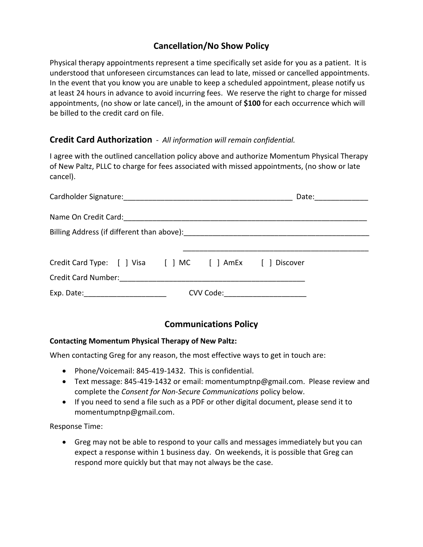## **Cancellation/No Show Policy**

Physical therapy appointments represent a time specifically set aside for you as a patient. It is understood that unforeseen circumstances can lead to late, missed or cancelled appointments. In the event that you know you are unable to keep a scheduled appointment, please notify us at least 24 hours in advance to avoid incurring fees. We reserve the right to charge for missed appointments, (no show or late cancel), in the amount of **\$100** for each occurrence which will be billed to the credit card on file.

#### **Credit Card Authorization** - *All information will remain confidential.*

I agree with the outlined cancellation policy above and authorize Momentum Physical Therapy of New Paltz, PLLC to charge for fees associated with missed appointments, (no show or late cancel).

|                                                                |  | Date: ______________          |
|----------------------------------------------------------------|--|-------------------------------|
|                                                                |  |                               |
|                                                                |  |                               |
|                                                                |  |                               |
| Credit Card Type: [ ] Visa [ ] MC [ ] AmEx [ ] Discover        |  |                               |
| Credit Card Number: The Contract of Tennis Credit Card Number: |  |                               |
|                                                                |  | CVV Code: ___________________ |

### **Communications Policy**

#### **Contacting Momentum Physical Therapy of New Paltz:**

When contacting Greg for any reason, the most effective ways to get in touch are:

- Phone/Voicemail: 845-419-1432. This is confidential.
- Text message: 845-419-1432 or email: momentumptnp@gmail.com. Please review and complete the *Consent for Non-Secure Communications* policy below.
- If you need to send a file such as a PDF or other digital document, please send it to momentumptnp@gmail.com.

Response Time:

• Greg may not be able to respond to your calls and messages immediately but you can expect a response within 1 business day. On weekends, it is possible that Greg can respond more quickly but that may not always be the case.